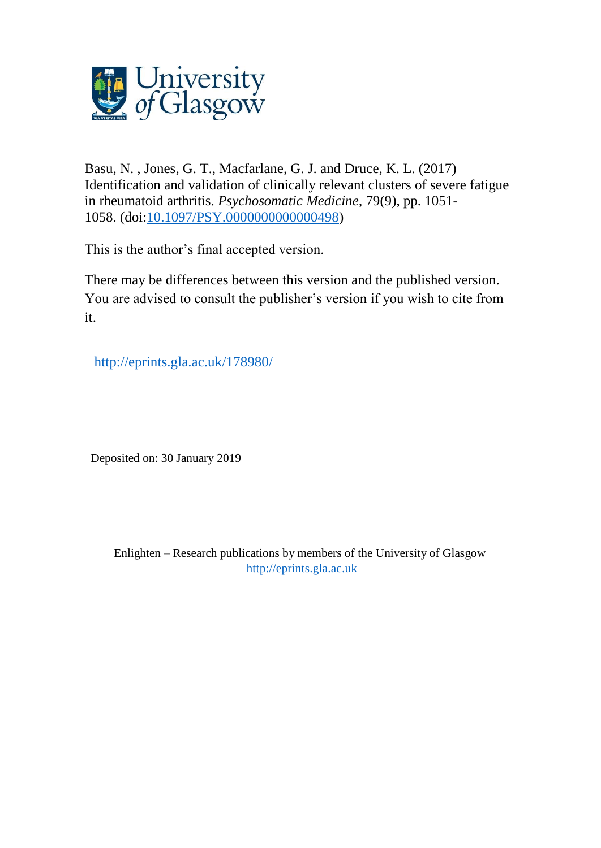

Basu, N. , Jones, G. T., Macfarlane, G. J. and Druce, K. L. (2017) Identification and validation of clinically relevant clusters of severe fatigue in rheumatoid arthritis. *Psychosomatic Medicine*, 79(9), pp. 1051- 1058. (doi[:10.1097/PSY.0000000000000498\)](http://dx.doi.org/10.1097/PSY.0000000000000498)

This is the author's final accepted version.

There may be differences between this version and the published version. You are advised to consult the publisher's version if you wish to cite from it.

http://eprints.gla.ac.uk/178980/

Deposited on: 30 January 2019

Enlighten – Research publications by members of the University of Glasgow [http://eprints.gla.ac.uk](http://eprints.gla.ac.uk/)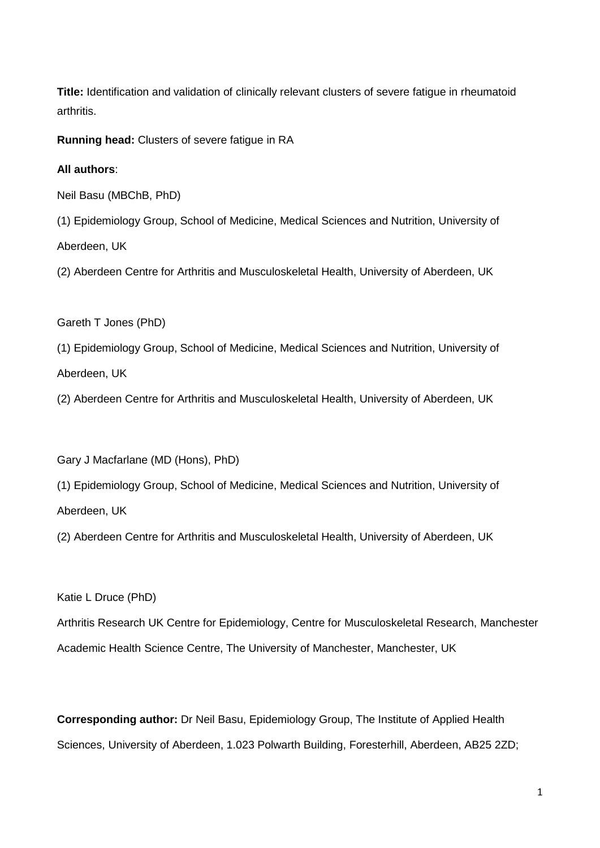**Title:** Identification and validation of clinically relevant clusters of severe fatigue in rheumatoid arthritis.

**Running head:** Clusters of severe fatigue in RA

**All authors**:

Neil Basu (MBChB, PhD)

(1) Epidemiology Group, School of Medicine, Medical Sciences and Nutrition, University of Aberdeen, UK

(2) Aberdeen Centre for Arthritis and Musculoskeletal Health, University of Aberdeen, UK

Gareth T Jones (PhD)

(1) Epidemiology Group, School of Medicine, Medical Sciences and Nutrition, University of Aberdeen, UK

(2) Aberdeen Centre for Arthritis and Musculoskeletal Health, University of Aberdeen, UK

Gary J Macfarlane (MD (Hons), PhD)

(1) Epidemiology Group, School of Medicine, Medical Sciences and Nutrition, University of Aberdeen, UK

(2) Aberdeen Centre for Arthritis and Musculoskeletal Health, University of Aberdeen, UK

Katie L Druce (PhD)

Arthritis Research UK Centre for Epidemiology, Centre for Musculoskeletal Research, Manchester Academic Health Science Centre, The University of Manchester, Manchester, UK

**Corresponding author:** Dr Neil Basu, Epidemiology Group, The Institute of Applied Health Sciences, University of Aberdeen, 1.023 Polwarth Building, Foresterhill, Aberdeen, AB25 2ZD;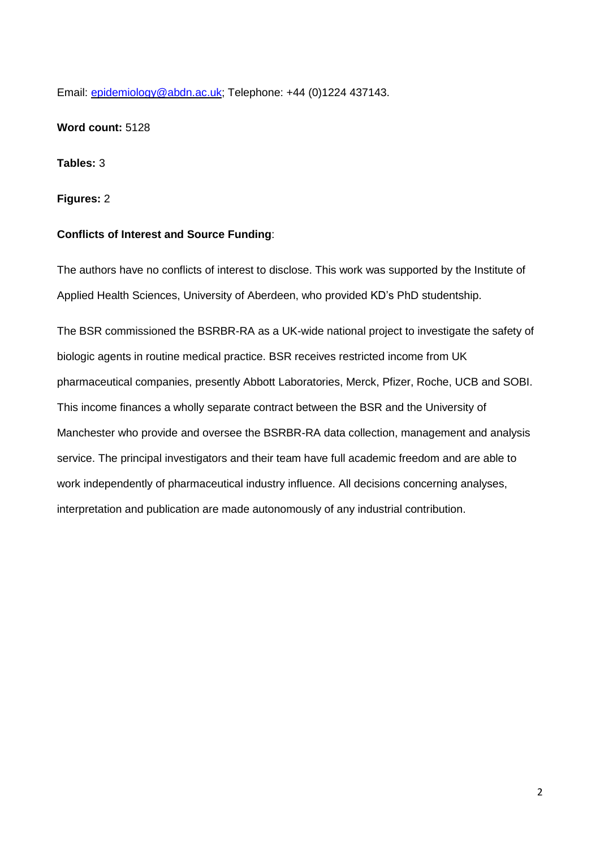Email: [epidemiology@abdn.ac.uk;](mailto:epidemiology@abdn.ac.uk) Telephone: +44 (0)1224 437143.

**Word count:** 5128

**Tables:** 3

**Figures:** 2

# **Conflicts of Interest and Source Funding**:

The authors have no conflicts of interest to disclose. This work was supported by the Institute of Applied Health Sciences, University of Aberdeen, who provided KD's PhD studentship.

The BSR commissioned the BSRBR-RA as a UK-wide national project to investigate the safety of biologic agents in routine medical practice. BSR receives restricted income from UK pharmaceutical companies, presently Abbott Laboratories, Merck, Pfizer, Roche, UCB and SOBI. This income finances a wholly separate contract between the BSR and the University of Manchester who provide and oversee the BSRBR-RA data collection, management and analysis service. The principal investigators and their team have full academic freedom and are able to work independently of pharmaceutical industry influence. All decisions concerning analyses, interpretation and publication are made autonomously of any industrial contribution.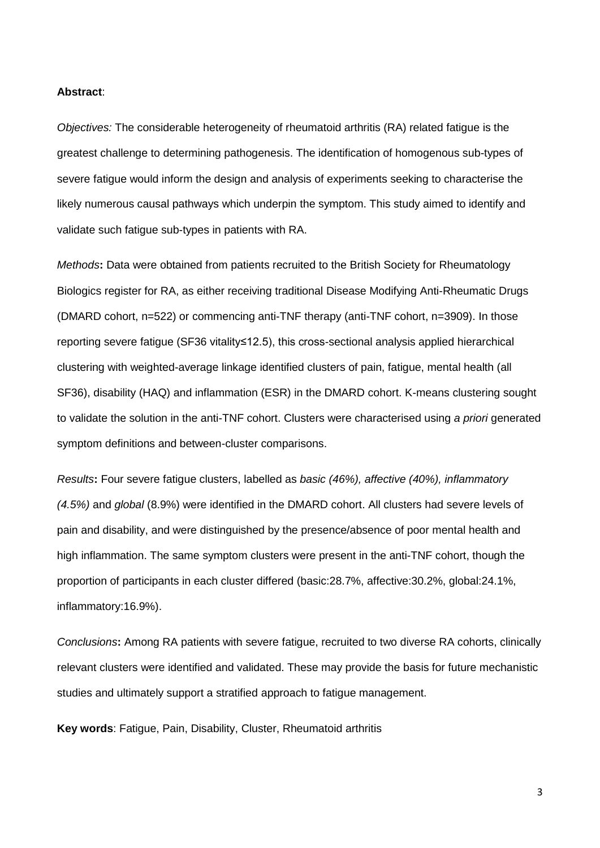#### **Abstract**:

*Objectives:* The considerable heterogeneity of rheumatoid arthritis (RA) related fatigue is the greatest challenge to determining pathogenesis. The identification of homogenous sub-types of severe fatigue would inform the design and analysis of experiments seeking to characterise the likely numerous causal pathways which underpin the symptom. This study aimed to identify and validate such fatigue sub-types in patients with RA.

*Methods***:** Data were obtained from patients recruited to the British Society for Rheumatology Biologics register for RA, as either receiving traditional Disease Modifying Anti-Rheumatic Drugs (DMARD cohort, n=522) or commencing anti-TNF therapy (anti-TNF cohort, n=3909). In those reporting severe fatigue (SF36 vitality≤12.5), this cross-sectional analysis applied hierarchical clustering with weighted-average linkage identified clusters of pain, fatigue, mental health (all SF36), disability (HAQ) and inflammation (ESR) in the DMARD cohort. K-means clustering sought to validate the solution in the anti-TNF cohort. Clusters were characterised using *a priori* generated symptom definitions and between-cluster comparisons.

*Results***:** Four severe fatigue clusters, labelled as *basic (46%), affective (40%), inflammatory (4.5%)* and *global* (8.9%) were identified in the DMARD cohort. All clusters had severe levels of pain and disability, and were distinguished by the presence/absence of poor mental health and high inflammation. The same symptom clusters were present in the anti-TNF cohort, though the proportion of participants in each cluster differed (basic:28.7%, affective:30.2%, global:24.1%, inflammatory:16.9%).

*Conclusions***:** Among RA patients with severe fatigue, recruited to two diverse RA cohorts, clinically relevant clusters were identified and validated. These may provide the basis for future mechanistic studies and ultimately support a stratified approach to fatigue management.

**Key words**: Fatigue, Pain, Disability, Cluster, Rheumatoid arthritis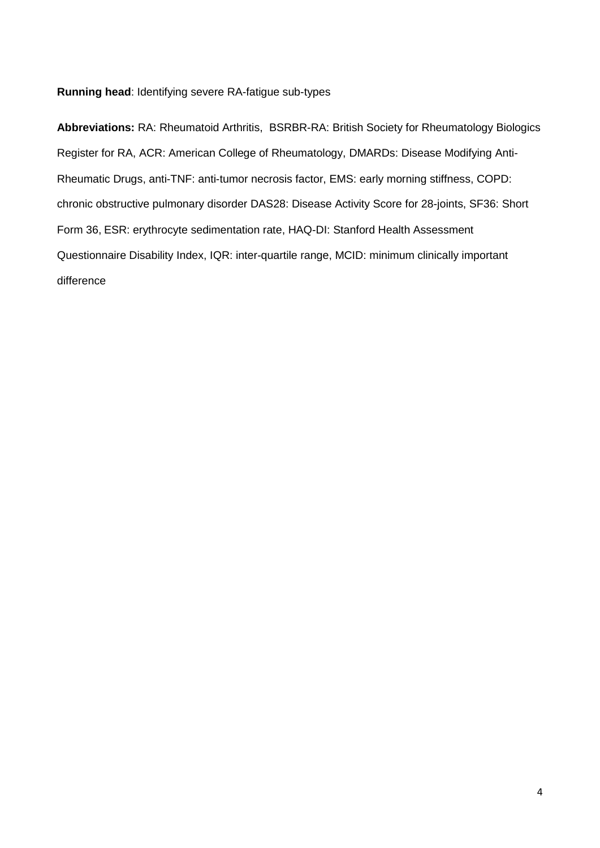**Running head**: Identifying severe RA-fatigue sub-types

**Abbreviations:** RA: Rheumatoid Arthritis,BSRBR-RA: British Society for Rheumatology Biologics Register for RA, ACR: American College of Rheumatology, DMARDs: Disease Modifying Anti-Rheumatic Drugs, anti-TNF: anti-tumor necrosis factor, EMS: early morning stiffness, COPD: chronic obstructive pulmonary disorder DAS28: Disease Activity Score for 28-joints, SF36: Short Form 36, ESR: erythrocyte sedimentation rate, HAQ-DI: Stanford Health Assessment Questionnaire Disability Index, IQR: inter-quartile range, MCID: minimum clinically important difference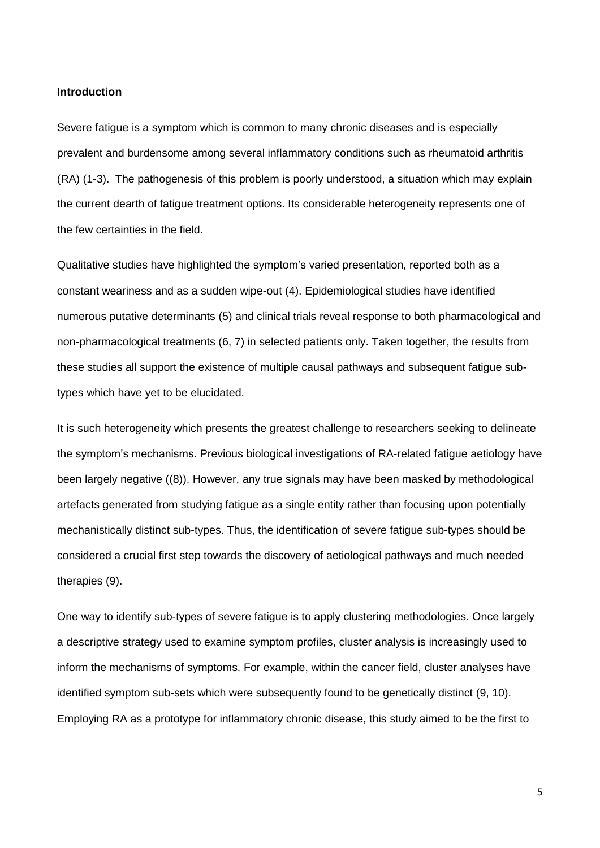#### **Introduction**

Severe fatigue is a symptom which is common to many chronic diseases and is especially prevalent and burdensome among several inflammatory conditions such as rheumatoid arthritis (RA) (1-3). The pathogenesis of this problem is poorly understood, a situation which may explain the current dearth of fatigue treatment options. Its considerable heterogeneity represents one of the few certainties in the field.

Qualitative studies have highlighted the symptom's varied presentation, reported both as a constant weariness and as a sudden wipe-out (4). Epidemiological studies have identified numerous putative determinants (5) and clinical trials reveal response to both pharmacological and non-pharmacological treatments (6, 7) in selected patients only. Taken together, the results from these studies all support the existence of multiple causal pathways and subsequent fatigue subtypes which have yet to be elucidated.

It is such heterogeneity which presents the greatest challenge to researchers seeking to delineate the symptom's mechanisms. Previous biological investigations of RA-related fatigue aetiology have been largely negative ((8)). However, any true signals may have been masked by methodological artefacts generated from studying fatigue as a single entity rather than focusing upon potentially mechanistically distinct sub-types. Thus, the identification of severe fatigue sub-types should be considered a crucial first step towards the discovery of aetiological pathways and much needed therapies (9).

One way to identify sub-types of severe fatigue is to apply clustering methodologies. Once largely a descriptive strategy used to examine symptom profiles, cluster analysis is increasingly used to inform the mechanisms of symptoms. For example, within the cancer field, cluster analyses have identified symptom sub-sets which were subsequently found to be genetically distinct (9, 10). Employing RA as a prototype for inflammatory chronic disease, this study aimed to be the first to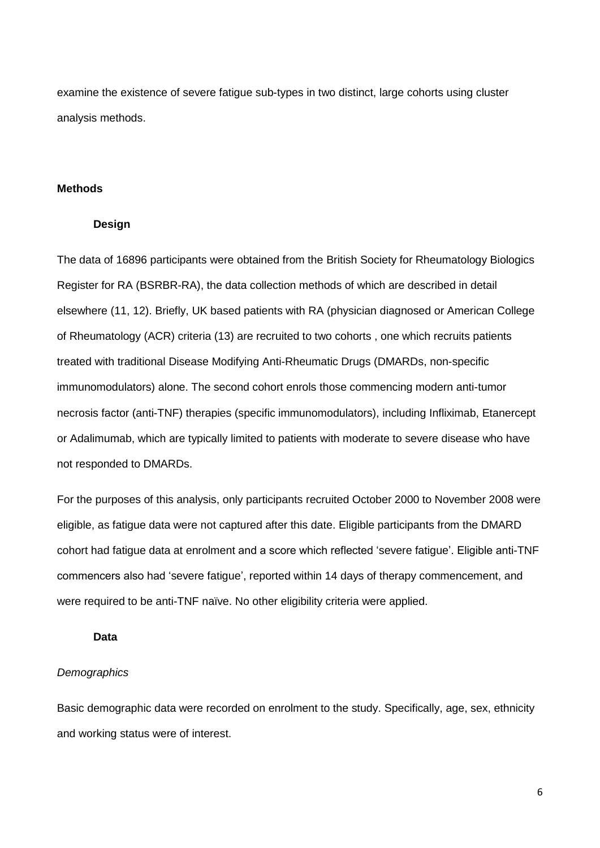examine the existence of severe fatigue sub-types in two distinct, large cohorts using cluster analysis methods.

## **Methods**

#### **Design**

The data of 16896 participants were obtained from the British Society for Rheumatology Biologics Register for RA (BSRBR-RA), the data collection methods of which are described in detail elsewhere (11, 12). Briefly, UK based patients with RA (physician diagnosed or American College of Rheumatology (ACR) criteria (13) are recruited to two cohorts , one which recruits patients treated with traditional Disease Modifying Anti-Rheumatic Drugs (DMARDs, non-specific immunomodulators) alone. The second cohort enrols those commencing modern anti-tumor necrosis factor (anti-TNF) therapies (specific immunomodulators), including Infliximab, Etanercept or Adalimumab, which are typically limited to patients with moderate to severe disease who have not responded to DMARDs.

For the purposes of this analysis, only participants recruited October 2000 to November 2008 were eligible, as fatigue data were not captured after this date. Eligible participants from the DMARD cohort had fatigue data at enrolment and a score which reflected 'severe fatigue'. Eligible anti-TNF commencers also had 'severe fatigue', reported within 14 days of therapy commencement, and were required to be anti-TNF naïve. No other eligibility criteria were applied.

## **Data**

## *Demographics*

Basic demographic data were recorded on enrolment to the study. Specifically, age, sex, ethnicity and working status were of interest.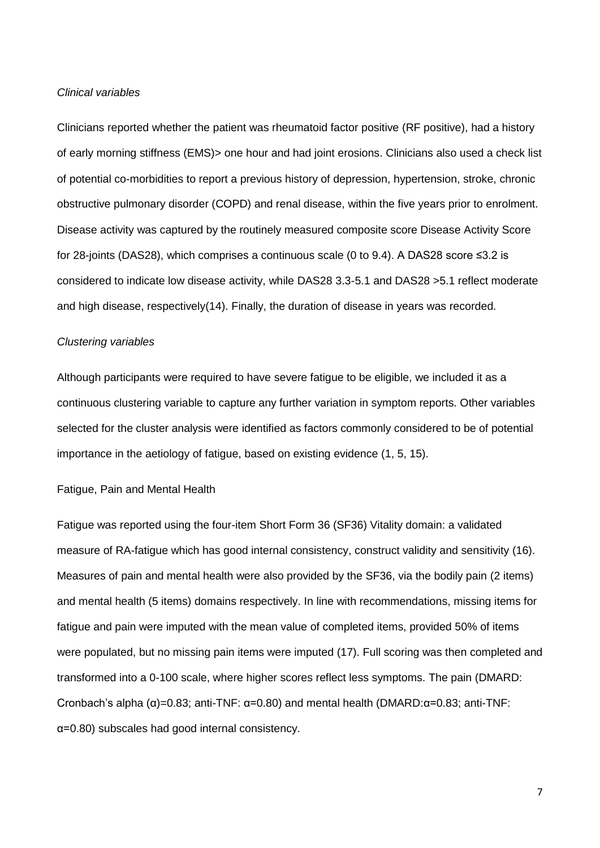#### *Clinical variables*

Clinicians reported whether the patient was rheumatoid factor positive (RF positive), had a history of early morning stiffness (EMS)> one hour and had joint erosions. Clinicians also used a check list of potential co-morbidities to report a previous history of depression, hypertension, stroke, chronic obstructive pulmonary disorder (COPD) and renal disease, within the five years prior to enrolment. Disease activity was captured by the routinely measured composite score Disease Activity Score for 28-joints (DAS28), which comprises a continuous scale (0 to 9.4). A DAS28 score ≤3.2 is considered to indicate low disease activity, while DAS28 3.3-5.1 and DAS28 >5.1 reflect moderate and high disease, respectively(14). Finally, the duration of disease in years was recorded.

#### *Clustering variables*

Although participants were required to have severe fatigue to be eligible, we included it as a continuous clustering variable to capture any further variation in symptom reports. Other variables selected for the cluster analysis were identified as factors commonly considered to be of potential importance in the aetiology of fatigue, based on existing evidence (1, 5, 15).

## Fatigue, Pain and Mental Health

Fatigue was reported using the four-item Short Form 36 (SF36) Vitality domain: a validated measure of RA-fatigue which has good internal consistency, construct validity and sensitivity (16). Measures of pain and mental health were also provided by the SF36, via the bodily pain (2 items) and mental health (5 items) domains respectively. In line with recommendations, missing items for fatigue and pain were imputed with the mean value of completed items, provided 50% of items were populated, but no missing pain items were imputed (17). Full scoring was then completed and transformed into a 0-100 scale, where higher scores reflect less symptoms. The pain (DMARD: Cronbach's alpha (α)=0.83; anti-TNF: α=0.80) and mental health (DMARD:α=0.83; anti-TNF: α=0.80) subscales had good internal consistency.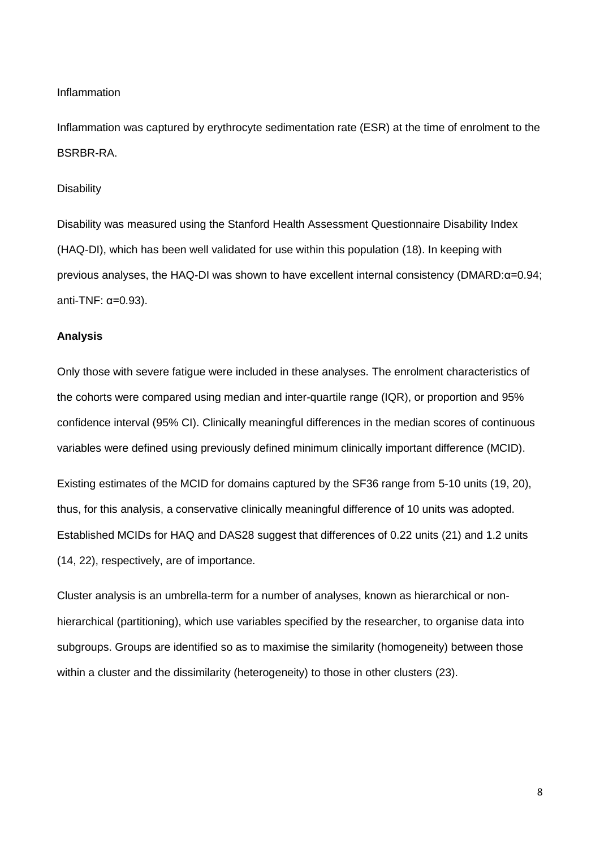#### Inflammation

Inflammation was captured by erythrocyte sedimentation rate (ESR) at the time of enrolment to the BSRBR-RA.

#### **Disability**

Disability was measured using the Stanford Health Assessment Questionnaire Disability Index (HAQ-DI), which has been well validated for use within this population (18). In keeping with previous analyses, the HAQ-DI was shown to have excellent internal consistency (DMARD:α=0.94; anti-TNF: α=0.93).

## **Analysis**

Only those with severe fatigue were included in these analyses. The enrolment characteristics of the cohorts were compared using median and inter-quartile range (IQR), or proportion and 95% confidence interval (95% CI). Clinically meaningful differences in the median scores of continuous variables were defined using previously defined minimum clinically important difference (MCID).

Existing estimates of the MCID for domains captured by the SF36 range from 5-10 units (19, 20), thus, for this analysis, a conservative clinically meaningful difference of 10 units was adopted. Established MCIDs for HAQ and DAS28 suggest that differences of 0.22 units (21) and 1.2 units (14, 22), respectively, are of importance.

Cluster analysis is an umbrella-term for a number of analyses, known as hierarchical or nonhierarchical (partitioning), which use variables specified by the researcher, to organise data into subgroups. Groups are identified so as to maximise the similarity (homogeneity) between those within a cluster and the dissimilarity (heterogeneity) to those in other clusters (23).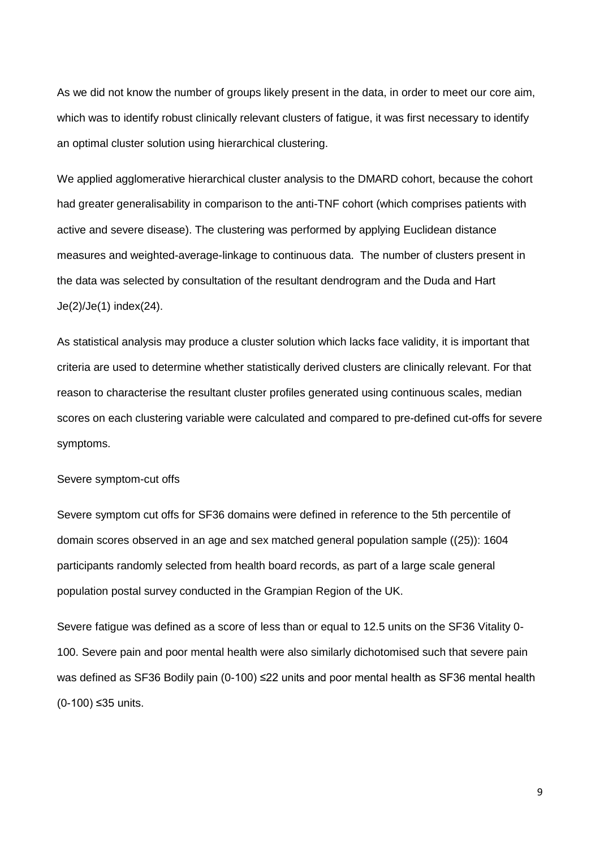As we did not know the number of groups likely present in the data, in order to meet our core aim, which was to identify robust clinically relevant clusters of fatigue, it was first necessary to identify an optimal cluster solution using hierarchical clustering.

We applied agglomerative hierarchical cluster analysis to the DMARD cohort, because the cohort had greater generalisability in comparison to the anti-TNF cohort (which comprises patients with active and severe disease). The clustering was performed by applying Euclidean distance measures and weighted-average-linkage to continuous data. The number of clusters present in the data was selected by consultation of the resultant dendrogram and the Duda and Hart Je(2)/Je(1) index(24).

As statistical analysis may produce a cluster solution which lacks face validity, it is important that criteria are used to determine whether statistically derived clusters are clinically relevant. For that reason to characterise the resultant cluster profiles generated using continuous scales, median scores on each clustering variable were calculated and compared to pre-defined cut-offs for severe symptoms.

## Severe symptom-cut offs

Severe symptom cut offs for SF36 domains were defined in reference to the 5th percentile of domain scores observed in an age and sex matched general population sample ((25)): 1604 participants randomly selected from health board records, as part of a large scale general population postal survey conducted in the Grampian Region of the UK.

Severe fatigue was defined as a score of less than or equal to 12.5 units on the SF36 Vitality 0- 100. Severe pain and poor mental health were also similarly dichotomised such that severe pain was defined as SF36 Bodily pain (0-100) ≤22 units and poor mental health as SF36 mental health (0-100) ≤35 units.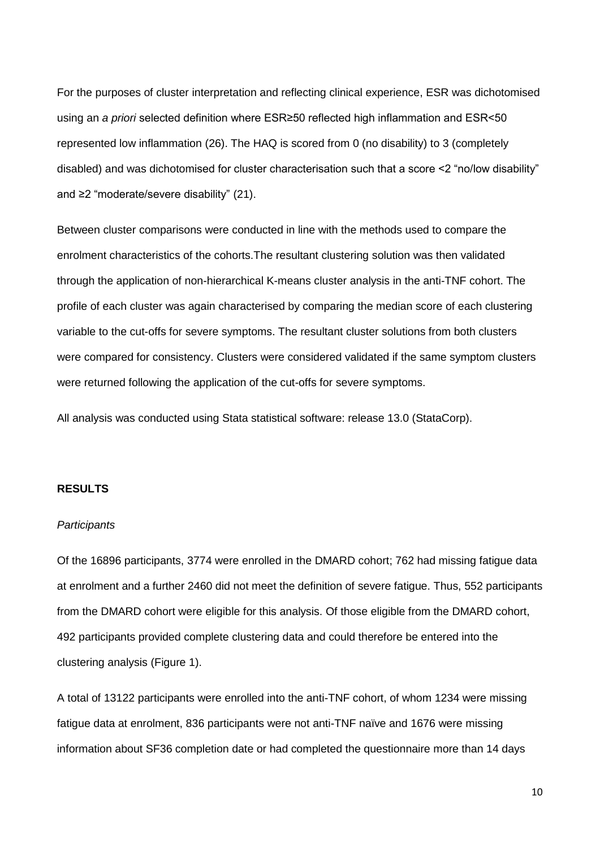For the purposes of cluster interpretation and reflecting clinical experience, ESR was dichotomised using an *a priori* selected definition where ESR≥50 reflected high inflammation and ESR<50 represented low inflammation (26). The HAQ is scored from 0 (no disability) to 3 (completely disabled) and was dichotomised for cluster characterisation such that a score <2 "no/low disability" and ≥2 "moderate/severe disability" (21).

Between cluster comparisons were conducted in line with the methods used to compare the enrolment characteristics of the cohorts.The resultant clustering solution was then validated through the application of non-hierarchical K-means cluster analysis in the anti-TNF cohort. The profile of each cluster was again characterised by comparing the median score of each clustering variable to the cut-offs for severe symptoms. The resultant cluster solutions from both clusters were compared for consistency. Clusters were considered validated if the same symptom clusters were returned following the application of the cut-offs for severe symptoms.

All analysis was conducted using Stata statistical software: release 13.0 (StataCorp).

## **RESULTS**

## *Participants*

Of the 16896 participants, 3774 were enrolled in the DMARD cohort; 762 had missing fatigue data at enrolment and a further 2460 did not meet the definition of severe fatigue. Thus, 552 participants from the DMARD cohort were eligible for this analysis. Of those eligible from the DMARD cohort, 492 participants provided complete clustering data and could therefore be entered into the clustering analysis (Figure 1).

A total of 13122 participants were enrolled into the anti-TNF cohort, of whom 1234 were missing fatigue data at enrolment, 836 participants were not anti-TNF naïve and 1676 were missing information about SF36 completion date or had completed the questionnaire more than 14 days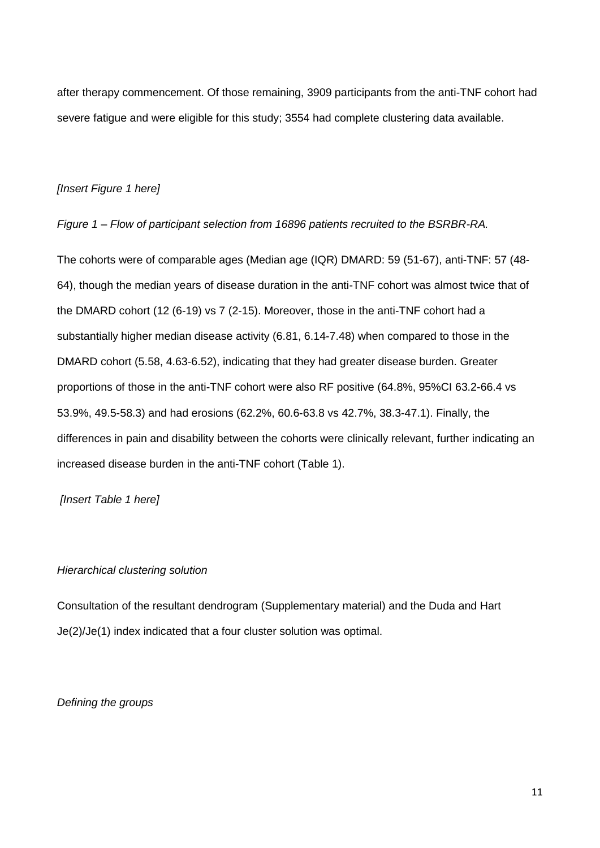after therapy commencement. Of those remaining, 3909 participants from the anti-TNF cohort had severe fatigue and were eligible for this study; 3554 had complete clustering data available.

# *[Insert Figure 1 here]*

# *Figure 1 – Flow of participant selection from 16896 patients recruited to the BSRBR-RA.*

The cohorts were of comparable ages (Median age (IQR) DMARD: 59 (51-67), anti-TNF: 57 (48- 64), though the median years of disease duration in the anti-TNF cohort was almost twice that of the DMARD cohort (12 (6-19) vs 7 (2-15). Moreover, those in the anti-TNF cohort had a substantially higher median disease activity (6.81, 6.14-7.48) when compared to those in the DMARD cohort (5.58, 4.63-6.52), indicating that they had greater disease burden. Greater proportions of those in the anti-TNF cohort were also RF positive (64.8%, 95%CI 63.2-66.4 vs 53.9%, 49.5-58.3) and had erosions (62.2%, 60.6-63.8 vs 42.7%, 38.3-47.1). Finally, the differences in pain and disability between the cohorts were clinically relevant, further indicating an increased disease burden in the anti-TNF cohort (Table 1).

# *[Insert Table 1 here]*

# *Hierarchical clustering solution*

Consultation of the resultant dendrogram (Supplementary material) and the Duda and Hart Je(2)/Je(1) index indicated that a four cluster solution was optimal.

*Defining the groups*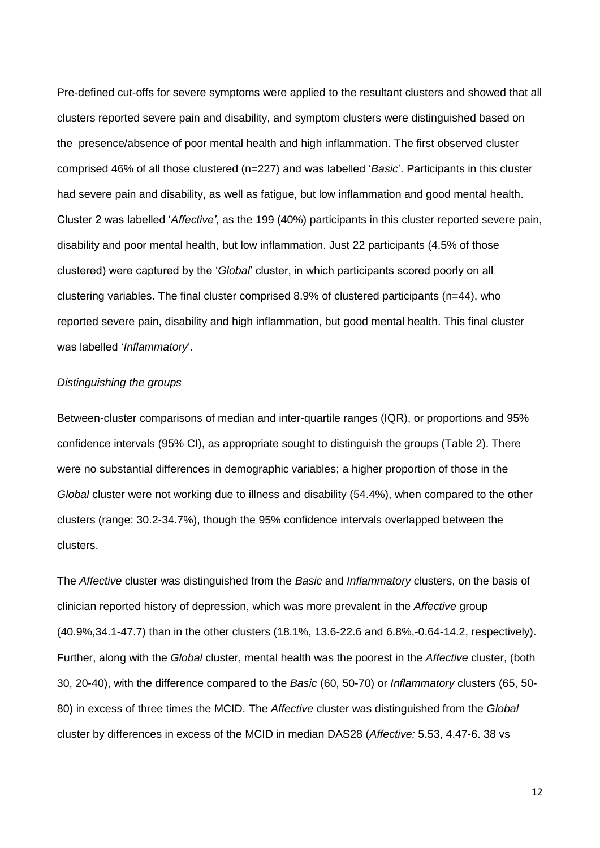Pre-defined cut-offs for severe symptoms were applied to the resultant clusters and showed that all clusters reported severe pain and disability, and symptom clusters were distinguished based on the presence/absence of poor mental health and high inflammation. The first observed cluster comprised 46% of all those clustered (n=227) and was labelled '*Basic*'. Participants in this cluster had severe pain and disability, as well as fatigue, but low inflammation and good mental health. Cluster 2 was labelled '*Affective'*, as the 199 (40%) participants in this cluster reported severe pain, disability and poor mental health, but low inflammation. Just 22 participants (4.5% of those clustered) were captured by the '*Global*' cluster, in which participants scored poorly on all clustering variables. The final cluster comprised 8.9% of clustered participants (n=44), who reported severe pain, disability and high inflammation, but good mental health. This final cluster was labelled '*Inflammatory*'.

## *Distinguishing the groups*

Between-cluster comparisons of median and inter-quartile ranges (IQR), or proportions and 95% confidence intervals (95% CI), as appropriate sought to distinguish the groups (Table 2). There were no substantial differences in demographic variables; a higher proportion of those in the *Global* cluster were not working due to illness and disability (54.4%), when compared to the other clusters (range: 30.2-34.7%), though the 95% confidence intervals overlapped between the clusters.

The *Affective* cluster was distinguished from the *Basic* and *Inflammatory* clusters, on the basis of clinician reported history of depression, which was more prevalent in the *Affective* group (40.9%,34.1-47.7) than in the other clusters (18.1%, 13.6-22.6 and 6.8%,-0.64-14.2, respectively). Further, along with the *Global* cluster, mental health was the poorest in the *Affective* cluster, (both 30, 20-40), with the difference compared to the *Basic* (60, 50-70) or *Inflammatory* clusters (65, 50- 80) in excess of three times the MCID. The *Affective* cluster was distinguished from the *Global* cluster by differences in excess of the MCID in median DAS28 (*Affective:* 5.53, 4.47-6. 38 vs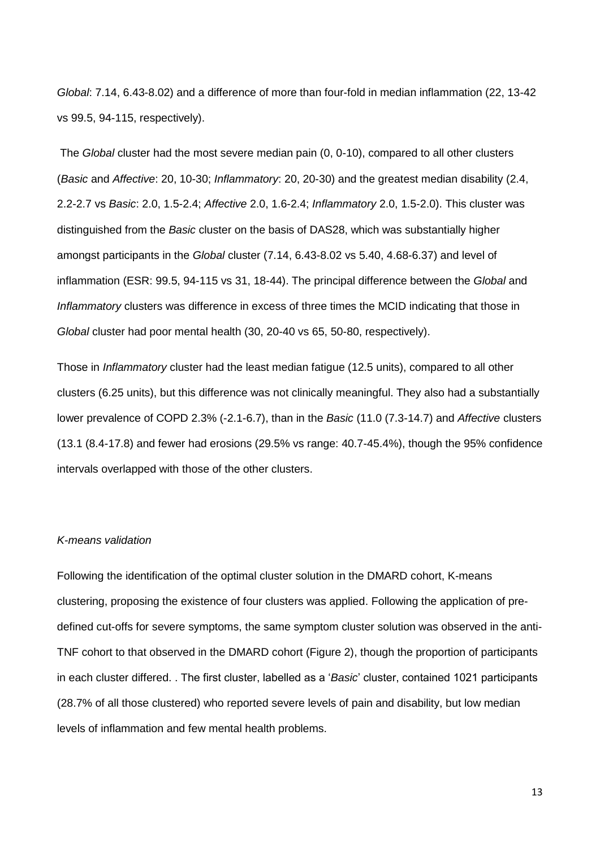*Global*: 7.14, 6.43-8.02) and a difference of more than four-fold in median inflammation (22, 13-42 vs 99.5, 94-115, respectively).

The *Global* cluster had the most severe median pain (0, 0-10), compared to all other clusters (*Basic* and *Affective*: 20, 10-30; *Inflammatory*: 20, 20-30) and the greatest median disability (2.4, 2.2-2.7 vs *Basic*: 2.0, 1.5-2.4; *Affective* 2.0, 1.6-2.4; *Inflammatory* 2.0, 1.5-2.0). This cluster was distinguished from the *Basic* cluster on the basis of DAS28, which was substantially higher amongst participants in the *Global* cluster (7.14, 6.43-8.02 vs 5.40, 4.68-6.37) and level of inflammation (ESR: 99.5, 94-115 vs 31, 18-44). The principal difference between the *Global* and *Inflammatory* clusters was difference in excess of three times the MCID indicating that those in *Global* cluster had poor mental health (30, 20-40 vs 65, 50-80, respectively).

Those in *Inflammatory* cluster had the least median fatigue (12.5 units), compared to all other clusters (6.25 units), but this difference was not clinically meaningful. They also had a substantially lower prevalence of COPD 2.3% (-2.1-6.7), than in the *Basic* (11.0 (7.3-14.7) and *Affective* clusters (13.1 (8.4-17.8) and fewer had erosions (29.5% vs range: 40.7-45.4%), though the 95% confidence intervals overlapped with those of the other clusters.

## *K-means validation*

Following the identification of the optimal cluster solution in the DMARD cohort, K-means clustering, proposing the existence of four clusters was applied. Following the application of predefined cut-offs for severe symptoms, the same symptom cluster solution was observed in the anti-TNF cohort to that observed in the DMARD cohort (Figure 2), though the proportion of participants in each cluster differed. . The first cluster, labelled as a '*Basic*' cluster, contained 1021 participants (28.7% of all those clustered) who reported severe levels of pain and disability, but low median levels of inflammation and few mental health problems.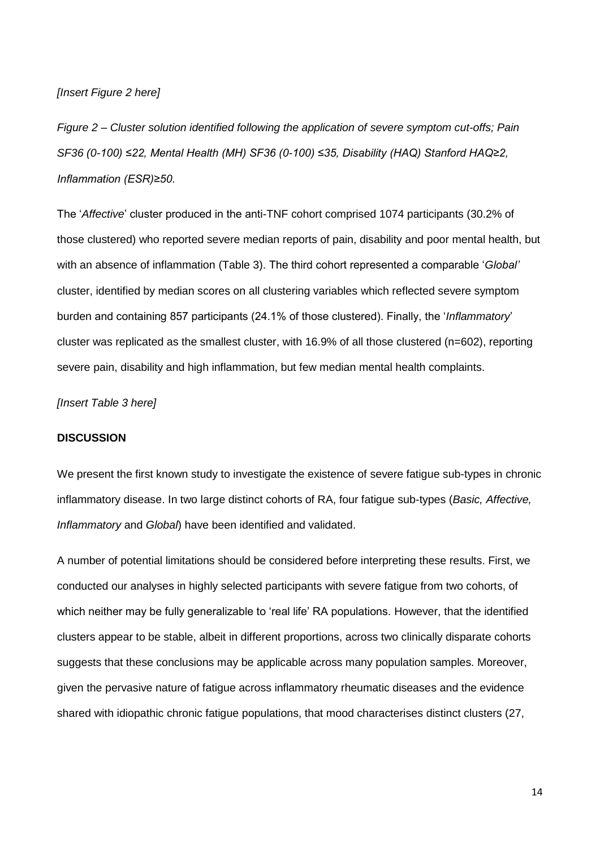## *[Insert Figure 2 here]*

*Figure 2 – Cluster solution identified following the application of severe symptom cut-offs; Pain SF36 (0-100) ≤22, Mental Health (MH) SF36 (0-100) ≤35, Disability (HAQ) Stanford HAQ≥2, Inflammation (ESR)≥50.*

The '*Affective*' cluster produced in the anti-TNF cohort comprised 1074 participants (30.2% of those clustered) who reported severe median reports of pain, disability and poor mental health, but with an absence of inflammation (Table 3). The third cohort represented a comparable '*Global'*  cluster, identified by median scores on all clustering variables which reflected severe symptom burden and containing 857 participants (24.1% of those clustered). Finally, the '*Inflammatory*' cluster was replicated as the smallest cluster, with 16.9% of all those clustered (n=602), reporting severe pain, disability and high inflammation, but few median mental health complaints.

*[Insert Table 3 here]*

## **DISCUSSION**

We present the first known study to investigate the existence of severe fatigue sub-types in chronic inflammatory disease. In two large distinct cohorts of RA, four fatigue sub-types (*Basic, Affective, Inflammatory* and *Global*) have been identified and validated.

A number of potential limitations should be considered before interpreting these results. First, we conducted our analyses in highly selected participants with severe fatigue from two cohorts, of which neither may be fully generalizable to 'real life' RA populations. However, that the identified clusters appear to be stable, albeit in different proportions, across two clinically disparate cohorts suggests that these conclusions may be applicable across many population samples. Moreover, given the pervasive nature of fatigue across inflammatory rheumatic diseases and the evidence shared with idiopathic chronic fatigue populations, that mood characterises distinct clusters (27,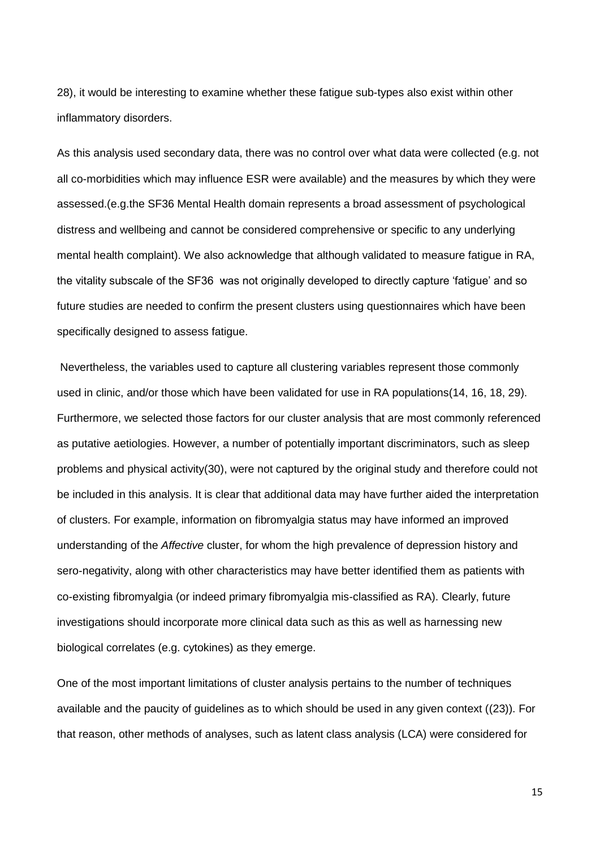28), it would be interesting to examine whether these fatigue sub-types also exist within other inflammatory disorders.

As this analysis used secondary data, there was no control over what data were collected (e.g. not all co-morbidities which may influence ESR were available) and the measures by which they were assessed.(e.g.the SF36 Mental Health domain represents a broad assessment of psychological distress and wellbeing and cannot be considered comprehensive or specific to any underlying mental health complaint). We also acknowledge that although validated to measure fatigue in RA, the vitality subscale of the SF36 was not originally developed to directly capture 'fatigue' and so future studies are needed to confirm the present clusters using questionnaires which have been specifically designed to assess fatigue.

Nevertheless, the variables used to capture all clustering variables represent those commonly used in clinic, and/or those which have been validated for use in RA populations(14, 16, 18, 29). Furthermore, we selected those factors for our cluster analysis that are most commonly referenced as putative aetiologies. However, a number of potentially important discriminators, such as sleep problems and physical activity(30), were not captured by the original study and therefore could not be included in this analysis. It is clear that additional data may have further aided the interpretation of clusters. For example, information on fibromyalgia status may have informed an improved understanding of the *Affective* cluster, for whom the high prevalence of depression history and sero-negativity, along with other characteristics may have better identified them as patients with co-existing fibromyalgia (or indeed primary fibromyalgia mis-classified as RA). Clearly, future investigations should incorporate more clinical data such as this as well as harnessing new biological correlates (e.g. cytokines) as they emerge.

One of the most important limitations of cluster analysis pertains to the number of techniques available and the paucity of guidelines as to which should be used in any given context ((23)). For that reason, other methods of analyses, such as latent class analysis (LCA) were considered for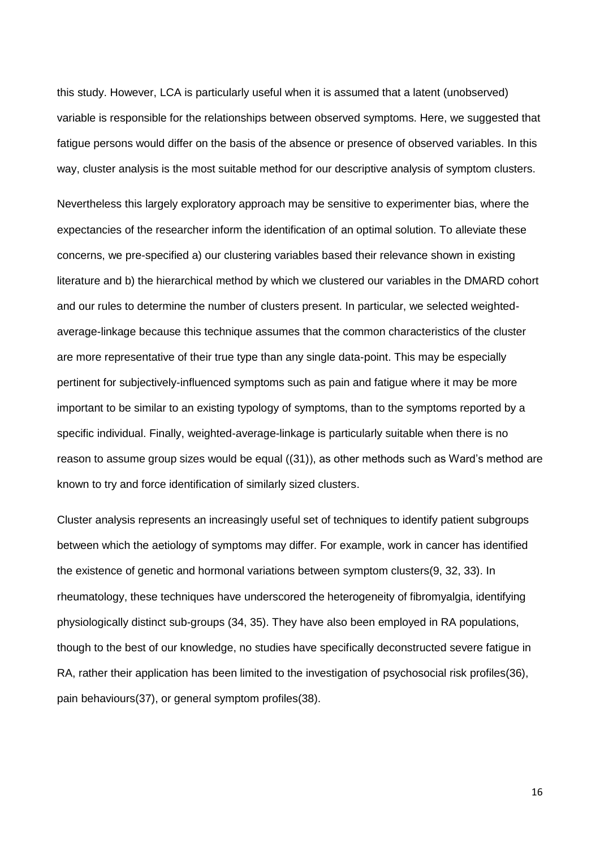this study. However, LCA is particularly useful when it is assumed that a latent (unobserved) variable is responsible for the relationships between observed symptoms. Here, we suggested that fatigue persons would differ on the basis of the absence or presence of observed variables. In this way, cluster analysis is the most suitable method for our descriptive analysis of symptom clusters.

Nevertheless this largely exploratory approach may be sensitive to experimenter bias, where the expectancies of the researcher inform the identification of an optimal solution. To alleviate these concerns, we pre-specified a) our clustering variables based their relevance shown in existing literature and b) the hierarchical method by which we clustered our variables in the DMARD cohort and our rules to determine the number of clusters present. In particular, we selected weightedaverage-linkage because this technique assumes that the common characteristics of the cluster are more representative of their true type than any single data-point. This may be especially pertinent for subjectively-influenced symptoms such as pain and fatigue where it may be more important to be similar to an existing typology of symptoms, than to the symptoms reported by a specific individual. Finally, weighted-average-linkage is particularly suitable when there is no reason to assume group sizes would be equal ((31)), as other methods such as Ward's method are known to try and force identification of similarly sized clusters.

Cluster analysis represents an increasingly useful set of techniques to identify patient subgroups between which the aetiology of symptoms may differ. For example, work in cancer has identified the existence of genetic and hormonal variations between symptom clusters(9, 32, 33). In rheumatology, these techniques have underscored the heterogeneity of fibromyalgia, identifying physiologically distinct sub-groups (34, 35). They have also been employed in RA populations, though to the best of our knowledge, no studies have specifically deconstructed severe fatigue in RA, rather their application has been limited to the investigation of psychosocial risk profiles(36), pain behaviours(37), or general symptom profiles(38).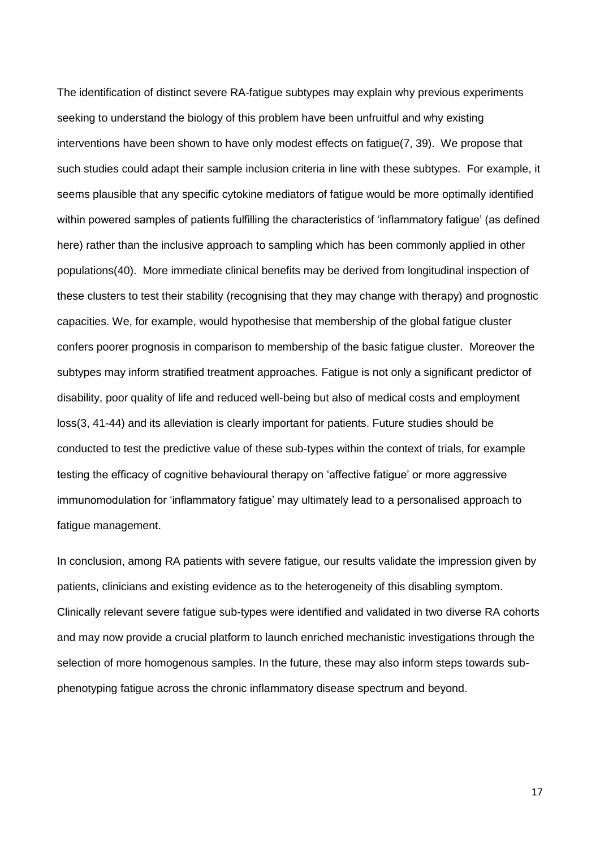The identification of distinct severe RA-fatigue subtypes may explain why previous experiments seeking to understand the biology of this problem have been unfruitful and why existing interventions have been shown to have only modest effects on fatigue(7, 39). We propose that such studies could adapt their sample inclusion criteria in line with these subtypes. For example, it seems plausible that any specific cytokine mediators of fatigue would be more optimally identified within powered samples of patients fulfilling the characteristics of 'inflammatory fatigue' (as defined here) rather than the inclusive approach to sampling which has been commonly applied in other populations(40). More immediate clinical benefits may be derived from longitudinal inspection of these clusters to test their stability (recognising that they may change with therapy) and prognostic capacities. We, for example, would hypothesise that membership of the global fatigue cluster confers poorer prognosis in comparison to membership of the basic fatigue cluster. Moreover the subtypes may inform stratified treatment approaches. Fatigue is not only a significant predictor of disability, poor quality of life and reduced well-being but also of medical costs and employment loss(3, 41-44) and its alleviation is clearly important for patients. Future studies should be conducted to test the predictive value of these sub-types within the context of trials, for example testing the efficacy of cognitive behavioural therapy on 'affective fatigue' or more aggressive immunomodulation for 'inflammatory fatigue' may ultimately lead to a personalised approach to fatigue management.

In conclusion, among RA patients with severe fatigue, our results validate the impression given by patients, clinicians and existing evidence as to the heterogeneity of this disabling symptom. Clinically relevant severe fatigue sub-types were identified and validated in two diverse RA cohorts and may now provide a crucial platform to launch enriched mechanistic investigations through the selection of more homogenous samples. In the future, these may also inform steps towards subphenotyping fatigue across the chronic inflammatory disease spectrum and beyond.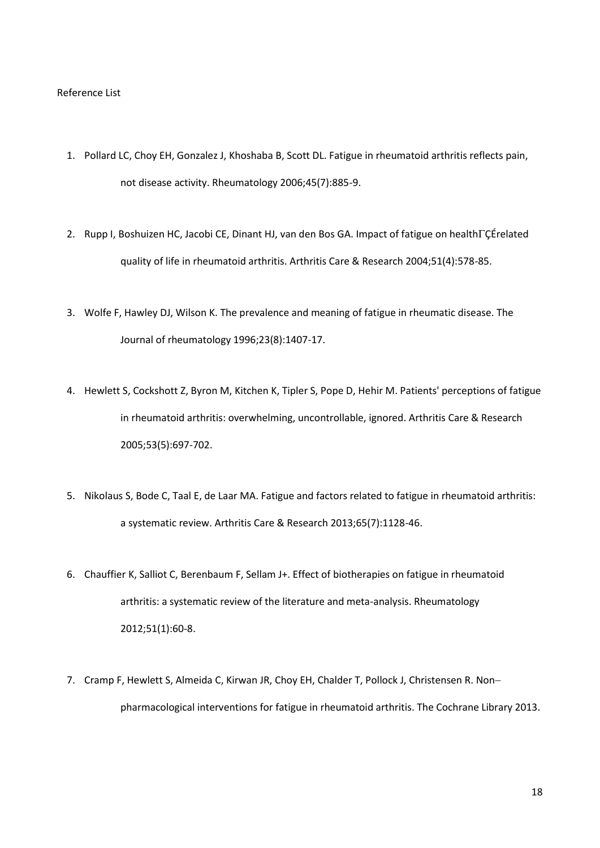#### Reference List

- 1. Pollard LC, Choy EH, Gonzalez J, Khoshaba B, Scott DL. Fatigue in rheumatoid arthritis reflects pain, not disease activity. Rheumatology 2006;45(7):885-9.
- 2. Rupp I, Boshuizen HC, Jacobi CE, Dinant HJ, van den Bos GA. Impact of fatigue on health $\Gamma \zeta$ Érelated quality of life in rheumatoid arthritis. Arthritis Care & Research 2004;51(4):578-85.
- 3. Wolfe F, Hawley DJ, Wilson K. The prevalence and meaning of fatigue in rheumatic disease. The Journal of rheumatology 1996;23(8):1407-17.
- 4. Hewlett S, Cockshott Z, Byron M, Kitchen K, Tipler S, Pope D, Hehir M. Patients' perceptions of fatigue in rheumatoid arthritis: overwhelming, uncontrollable, ignored. Arthritis Care & Research 2005;53(5):697-702.
- 5. Nikolaus S, Bode C, Taal E, de Laar MA. Fatigue and factors related to fatigue in rheumatoid arthritis: a systematic review. Arthritis Care & Research 2013;65(7):1128-46.
- 6. Chauffier K, Salliot C, Berenbaum F, Sellam J+. Effect of biotherapies on fatigue in rheumatoid arthritis: a systematic review of the literature and meta-analysis. Rheumatology 2012;51(1):60-8.
- 7. Cramp F, Hewlett S, Almeida C, Kirwan JR, Choy EH, Chalder T, Pollock J, Christensen R. Non pharmacological interventions for fatigue in rheumatoid arthritis. The Cochrane Library 2013.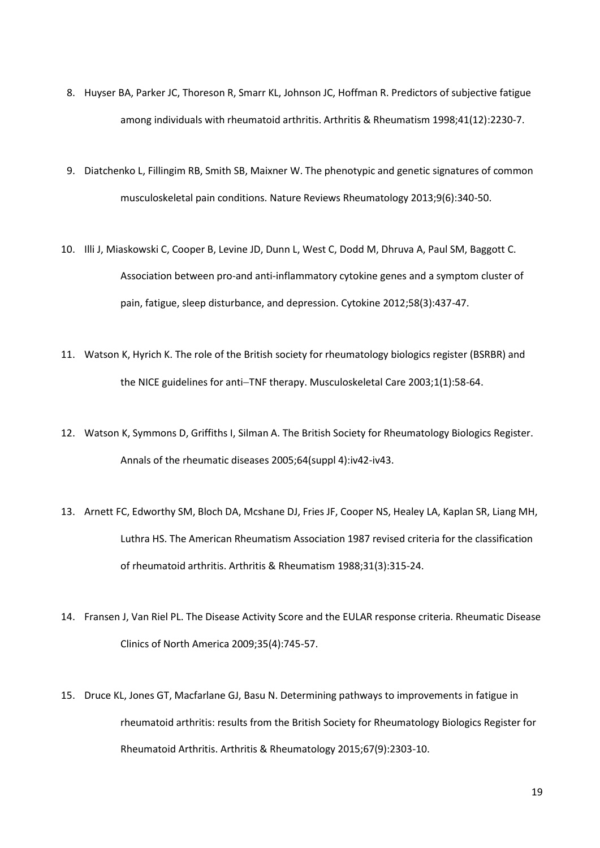- 8. Huyser BA, Parker JC, Thoreson R, Smarr KL, Johnson JC, Hoffman R. Predictors of subjective fatigue among individuals with rheumatoid arthritis. Arthritis & Rheumatism 1998;41(12):2230-7.
- 9. Diatchenko L, Fillingim RB, Smith SB, Maixner W. The phenotypic and genetic signatures of common musculoskeletal pain conditions. Nature Reviews Rheumatology 2013;9(6):340-50.
- 10. Illi J, Miaskowski C, Cooper B, Levine JD, Dunn L, West C, Dodd M, Dhruva A, Paul SM, Baggott C. Association between pro-and anti-inflammatory cytokine genes and a symptom cluster of pain, fatigue, sleep disturbance, and depression. Cytokine 2012;58(3):437-47.
- 11. Watson K, Hyrich K. The role of the British society for rheumatology biologics register (BSRBR) and the NICE guidelines for anti-TNF therapy. Musculoskeletal Care 2003;1(1):58-64.
- 12. Watson K, Symmons D, Griffiths I, Silman A. The British Society for Rheumatology Biologics Register. Annals of the rheumatic diseases 2005;64(suppl 4):iv42-iv43.
- 13. Arnett FC, Edworthy SM, Bloch DA, Mcshane DJ, Fries JF, Cooper NS, Healey LA, Kaplan SR, Liang MH, Luthra HS. The American Rheumatism Association 1987 revised criteria for the classification of rheumatoid arthritis. Arthritis & Rheumatism 1988;31(3):315-24.
- 14. Fransen J, Van Riel PL. The Disease Activity Score and the EULAR response criteria. Rheumatic Disease Clinics of North America 2009;35(4):745-57.
- 15. Druce KL, Jones GT, Macfarlane GJ, Basu N. Determining pathways to improvements in fatigue in rheumatoid arthritis: results from the British Society for Rheumatology Biologics Register for Rheumatoid Arthritis. Arthritis & Rheumatology 2015;67(9):2303-10.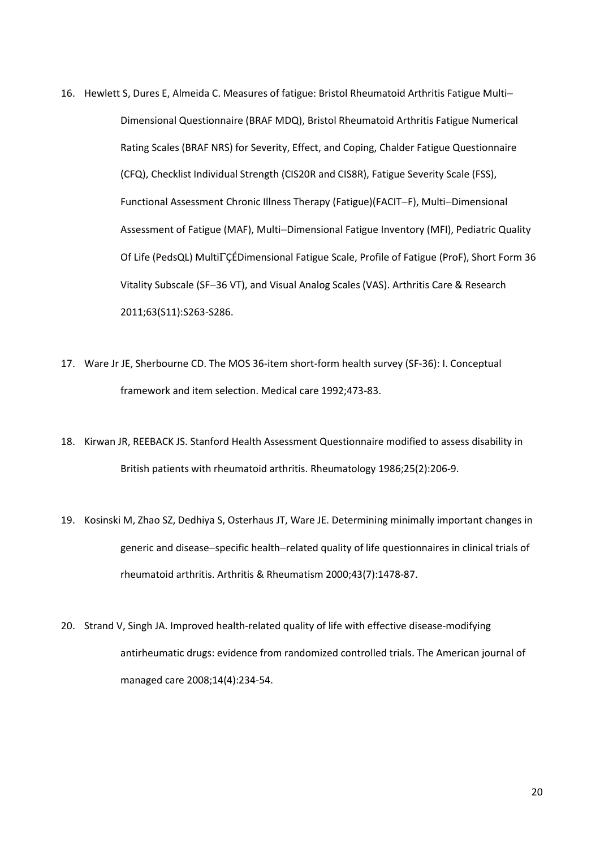- 16. Hewlett S, Dures E, Almeida C. Measures of fatigue: Bristol Rheumatoid Arthritis Fatigue Multi Dimensional Questionnaire (BRAF MDQ), Bristol Rheumatoid Arthritis Fatigue Numerical Rating Scales (BRAF NRS) for Severity, Effect, and Coping, Chalder Fatigue Questionnaire (CFQ), Checklist Individual Strength (CIS20R and CIS8R), Fatigue Severity Scale (FSS), Functional Assessment Chronic Illness Therapy (Fatigue)(FACIT-F), Multi-Dimensional Assessment of Fatigue (MAF), Multi-Dimensional Fatigue Inventory (MFI), Pediatric Quality Of Life (PedsQL) MultiÇÉDimensional Fatigue Scale, Profile of Fatigue (ProF), Short Form 36 Vitality Subscale (SF-36 VT), and Visual Analog Scales (VAS). Arthritis Care & Research 2011;63(S11):S263-S286.
- 17. Ware Jr JE, Sherbourne CD. The MOS 36-item short-form health survey (SF-36): I. Conceptual framework and item selection. Medical care 1992;473-83.
- 18. Kirwan JR, REEBACK JS. Stanford Health Assessment Questionnaire modified to assess disability in British patients with rheumatoid arthritis. Rheumatology 1986;25(2):206-9.
- 19. Kosinski M, Zhao SZ, Dedhiya S, Osterhaus JT, Ware JE. Determining minimally important changes in generic and disease-specific health-related quality of life questionnaires in clinical trials of rheumatoid arthritis. Arthritis & Rheumatism 2000;43(7):1478-87.
- 20. Strand V, Singh JA. Improved health-related quality of life with effective disease-modifying antirheumatic drugs: evidence from randomized controlled trials. The American journal of managed care 2008;14(4):234-54.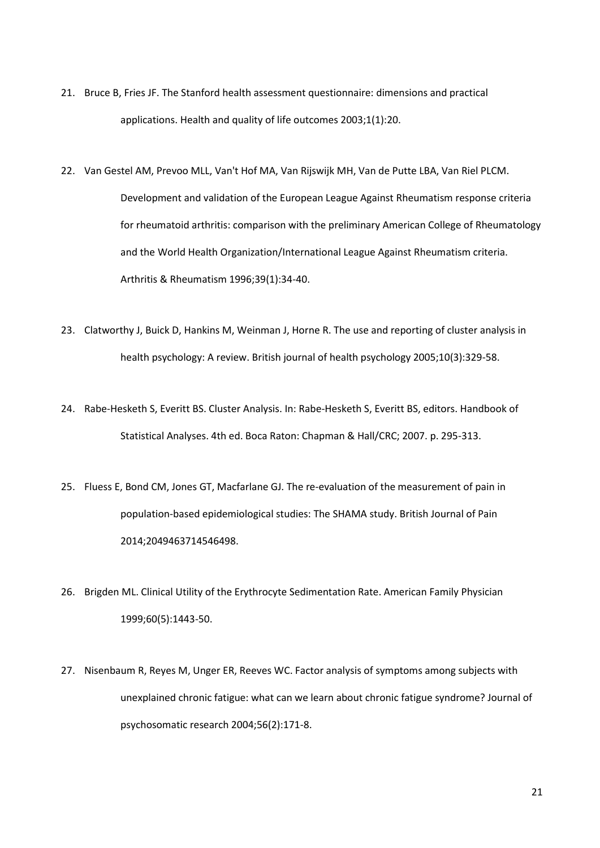- 21. Bruce B, Fries JF. The Stanford health assessment questionnaire: dimensions and practical applications. Health and quality of life outcomes 2003;1(1):20.
- 22. Van Gestel AM, Prevoo MLL, Van't Hof MA, Van Rijswijk MH, Van de Putte LBA, Van Riel PLCM. Development and validation of the European League Against Rheumatism response criteria for rheumatoid arthritis: comparison with the preliminary American College of Rheumatology and the World Health Organization/International League Against Rheumatism criteria. Arthritis & Rheumatism 1996;39(1):34-40.
- 23. Clatworthy J, Buick D, Hankins M, Weinman J, Horne R. The use and reporting of cluster analysis in health psychology: A review. British journal of health psychology 2005;10(3):329-58.
- 24. Rabe-Hesketh S, Everitt BS. Cluster Analysis. In: Rabe-Hesketh S, Everitt BS, editors. Handbook of Statistical Analyses. 4th ed. Boca Raton: Chapman & Hall/CRC; 2007. p. 295-313.
- 25. Fluess E, Bond CM, Jones GT, Macfarlane GJ. The re-evaluation of the measurement of pain in population-based epidemiological studies: The SHAMA study. British Journal of Pain 2014;2049463714546498.
- 26. Brigden ML. Clinical Utility of the Erythrocyte Sedimentation Rate. American Family Physician 1999;60(5):1443-50.
- 27. Nisenbaum R, Reyes M, Unger ER, Reeves WC. Factor analysis of symptoms among subjects with unexplained chronic fatigue: what can we learn about chronic fatigue syndrome? Journal of psychosomatic research 2004;56(2):171-8.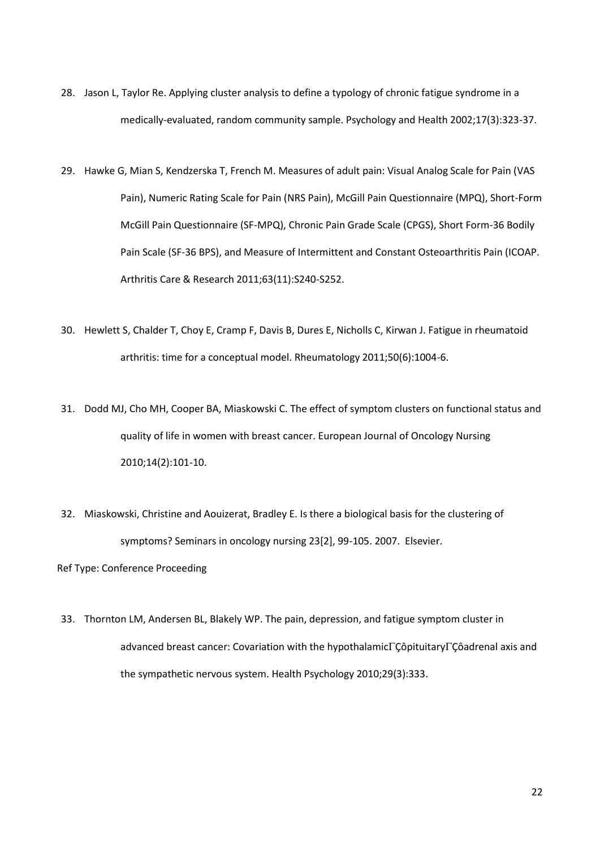- 28. Jason L, Taylor Re. Applying cluster analysis to define a typology of chronic fatigue syndrome in a medically-evaluated, random community sample. Psychology and Health 2002;17(3):323-37.
- 29. Hawke G, Mian S, Kendzerska T, French M. Measures of adult pain: Visual Analog Scale for Pain (VAS Pain), Numeric Rating Scale for Pain (NRS Pain), McGill Pain Questionnaire (MPQ), Short-Form McGill Pain Questionnaire (SF-MPQ), Chronic Pain Grade Scale (CPGS), Short Form-36 Bodily Pain Scale (SF-36 BPS), and Measure of Intermittent and Constant Osteoarthritis Pain (ICOAP. Arthritis Care & Research 2011;63(11):S240-S252.
- 30. Hewlett S, Chalder T, Choy E, Cramp F, Davis B, Dures E, Nicholls C, Kirwan J. Fatigue in rheumatoid arthritis: time for a conceptual model. Rheumatology 2011;50(6):1004-6.
- 31. Dodd MJ, Cho MH, Cooper BA, Miaskowski C. The effect of symptom clusters on functional status and quality of life in women with breast cancer. European Journal of Oncology Nursing 2010;14(2):101-10.
- 32. Miaskowski, Christine and Aouizerat, Bradley E. Is there a biological basis for the clustering of symptoms? Seminars in oncology nursing 23[2], 99-105. 2007. Elsevier.

Ref Type: Conference Proceeding

33. Thornton LM, Andersen BL, Blakely WP. The pain, depression, and fatigue symptom cluster in advanced breast cancer: Covariation with the hypothalamic $\Gamma$ Côpituitary $\Gamma$ Côadrenal axis and the sympathetic nervous system. Health Psychology 2010;29(3):333.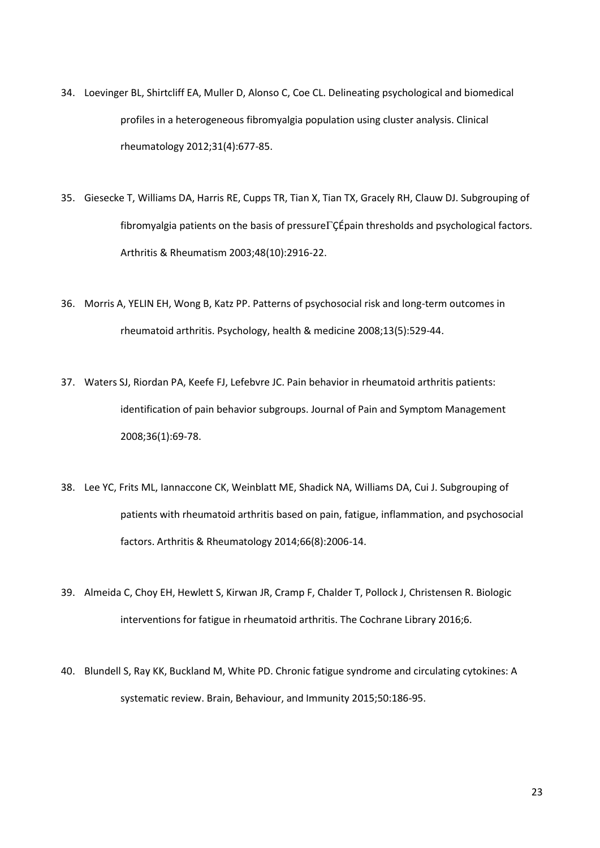- 34. Loevinger BL, Shirtcliff EA, Muller D, Alonso C, Coe CL. Delineating psychological and biomedical profiles in a heterogeneous fibromyalgia population using cluster analysis. Clinical rheumatology 2012;31(4):677-85.
- 35. Giesecke T, Williams DA, Harris RE, Cupps TR, Tian X, Tian TX, Gracely RH, Clauw DJ. Subgrouping of fibromyalgia patients on the basis of pressure $\Gamma \zeta$ Épain thresholds and psychological factors. Arthritis & Rheumatism 2003;48(10):2916-22.
- 36. Morris A, YELIN EH, Wong B, Katz PP. Patterns of psychosocial risk and long-term outcomes in rheumatoid arthritis. Psychology, health & medicine 2008;13(5):529-44.
- 37. Waters SJ, Riordan PA, Keefe FJ, Lefebvre JC. Pain behavior in rheumatoid arthritis patients: identification of pain behavior subgroups. Journal of Pain and Symptom Management 2008;36(1):69-78.
- 38. Lee YC, Frits ML, Iannaccone CK, Weinblatt ME, Shadick NA, Williams DA, Cui J. Subgrouping of patients with rheumatoid arthritis based on pain, fatigue, inflammation, and psychosocial factors. Arthritis & Rheumatology 2014;66(8):2006-14.
- 39. Almeida C, Choy EH, Hewlett S, Kirwan JR, Cramp F, Chalder T, Pollock J, Christensen R. Biologic interventions for fatigue in rheumatoid arthritis. The Cochrane Library 2016;6.
- 40. Blundell S, Ray KK, Buckland M, White PD. Chronic fatigue syndrome and circulating cytokines: A systematic review. Brain, Behaviour, and Immunity 2015;50:186-95.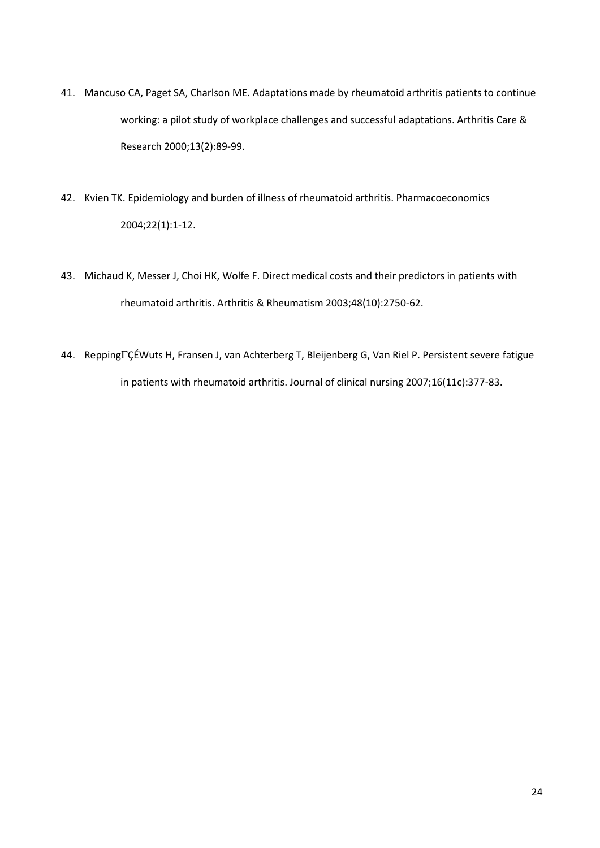- 41. Mancuso CA, Paget SA, Charlson ME. Adaptations made by rheumatoid arthritis patients to continue working: a pilot study of workplace challenges and successful adaptations. Arthritis Care & Research 2000;13(2):89-99.
- 42. Kvien TK. Epidemiology and burden of illness of rheumatoid arthritis. Pharmacoeconomics 2004;22(1):1-12.
- 43. Michaud K, Messer J, Choi HK, Wolfe F. Direct medical costs and their predictors in patients with rheumatoid arthritis. Arthritis & Rheumatism 2003;48(10):2750-62.
- 44. ReppingÇÉWuts H, Fransen J, van Achterberg T, Bleijenberg G, Van Riel P. Persistent severe fatigue in patients with rheumatoid arthritis. Journal of clinical nursing 2007;16(11c):377-83.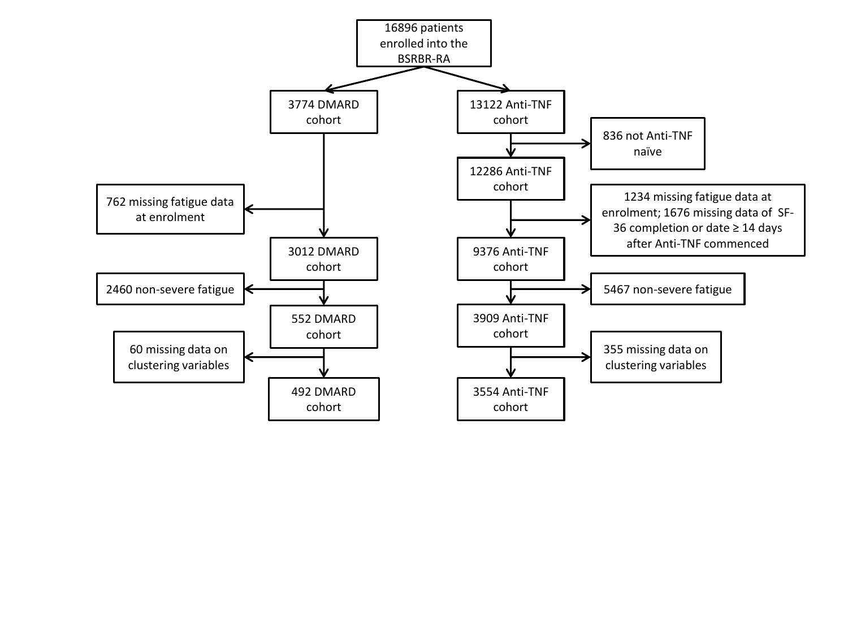